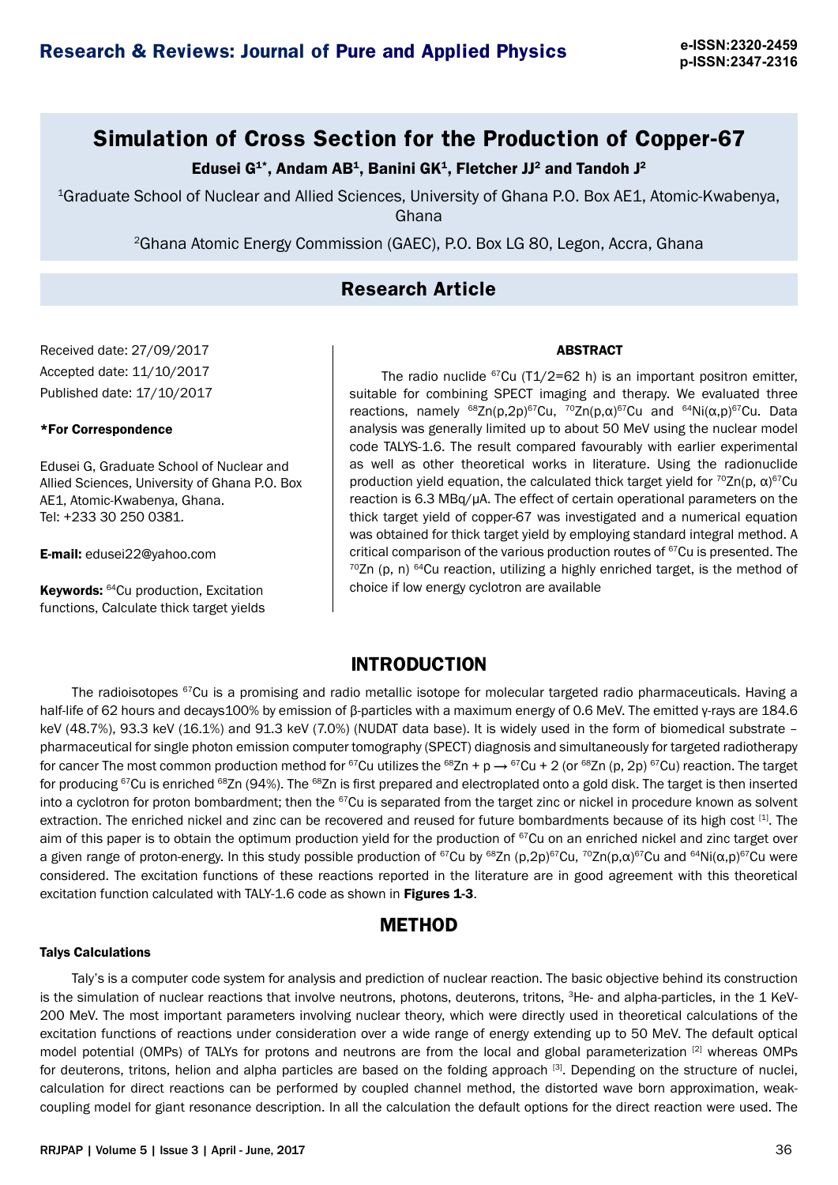## **Simulation of Cross Section for the Production of Copper-67**

### Edusei G<sup>1\*</sup>, Andam AB<sup>1</sup>, Banini GK<sup>1</sup>, Fletcher JJ<sup>2</sup> and Tandoh J<sup>2</sup>

1Graduate School of Nuclear and Allied Sciences, University of Ghana P.O. Box AE1, Atomic-Kwabenya, Ghana

2Ghana Atomic Energy Commission (GAEC), P.O. Box LG 80, Legon, Accra, Ghana

## **Research Article**

Received date: 27/09/2017 Accepted date: 11/10/2017 Published date: 17/10/2017

#### \*For Correspondence

Edusei G, Graduate School of Nuclear and Allied Sciences, University of Ghana P.O. Box AE1, Atomic-Kwabenya, Ghana. Tel: +233 30 250 0381.

E-mail: edusei22@yahoo.com

Keywords: <sup>64</sup>Cu production, Excitation functions, Calculate thick target yields

The radio nuclide  ${}^{67}Cu$  (T1/2=62 h) is an important positron emitter, suitable for combining SPECT imaging and therapy. We evaluated three reactions, namely  ${}^{68}Zn(p,2p){}^{67}Cu$ ,  ${}^{70}Zn(p,\alpha){}^{67}Cu$  and  ${}^{64}Ni(\alpha,p){}^{67}Cu$ . Data analysis was generally limited up to about 50 MeV using the nuclear model code TALYS-1.6. The result compared favourably with earlier experimental as well as other theoretical works in literature. Using the radionuclide production yield equation, the calculated thick target yield for  $\frac{70}{2}$ n(p,  $\alpha$ )<sup>67</sup>Cu reaction is 6.3 MBq/µA. The effect of certain operational parameters on the thick target yield of copper-67 was investigated and a numerical equation was obtained for thick target yield by employing standard integral method. A critical comparison of the various production routes of  $67$ Cu is presented. The  $70$ Zn (p, n)  $64$ Cu reaction, utilizing a highly enriched target, is the method of choice if low energy cyclotron are available

ABSTRACT

### **INTRODUCTION**

The radioisotopes <sup>67</sup>Cu is a promising and radio metallic isotope for molecular targeted radio pharmaceuticals. Having a half-life of 62 hours and decays100% by emission of β-particles with a maximum energy of 0.6 MeV. The emitted γ-rays are 184.6 keV (48.7%), 93.3 keV (16.1%) and 91.3 keV (7.0%) (NUDAT data base). It is widely used in the form of biomedical substrate – pharmaceutical for single photon emission computer tomography (SPECT) diagnosis and simultaneously for targeted radiotherapy for cancer The most common production method for <sup>67</sup>Cu utilizes the <sup>68</sup>Zn + p  $\rightarrow$  <sup>67</sup>Cu + 2 (or <sup>68</sup>Zn (p, 2p) <sup>67</sup>Cu) reaction. The target for producing <sup>67</sup>Cu is enriched <sup>68</sup>Zn (94%). The <sup>68</sup>Zn is first prepared and electroplated onto a gold disk. The target is then inserted into a cyclotron for proton bombardment; then the  $67$ Cu is separated from the target zinc or nickel in procedure known as solvent extraction. The enriched nickel and zinc can be recovered and reused for future bombardments because of its high cost [1]. The aim of this paper is to obtain the optimum production yield for the production of <sup>67</sup>Cu on an enriched nickel and zinc target over a given range of proton-energy. In this study possible production of <sup>67</sup>Cu by <sup>68</sup>Zn (p,2p)<sup>67</sup>Cu, <sup>70</sup>Zn(p, $\alpha$ )<sup>67</sup>Cu and <sup>64</sup>Ni( $\alpha$ ,p)<sup>67</sup>Cu were considered. The excitation functions of these reactions reported in the literature are in good agreement with this theoretical excitation function calculated with TALY-1.6 code as shown in Figures 1-3.

## **METHOD**

#### Talys Calculations

Taly's is a computer code system for analysis and prediction of nuclear reaction. The basic objective behind its construction is the simulation of nuclear reactions that involve neutrons, photons, deuterons, tritons, <sup>3</sup>He- and alpha-particles, in the 1 KeV-200 MeV. The most important parameters involving nuclear theory, which were directly used in theoretical calculations of the excitation functions of reactions under consideration over a wide range of energy extending up to 50 MeV. The default optical model potential (OMPs) of TALYs for protons and neutrons are from the local and global parameterization [2] whereas OMPs for deuterons, tritons, helion and alpha particles are based on the folding approach [3]. Depending on the structure of nuclei, calculation for direct reactions can be performed by coupled channel method, the distorted wave born approximation, weakcoupling model for giant resonance description. In all the calculation the default options for the direct reaction were used. The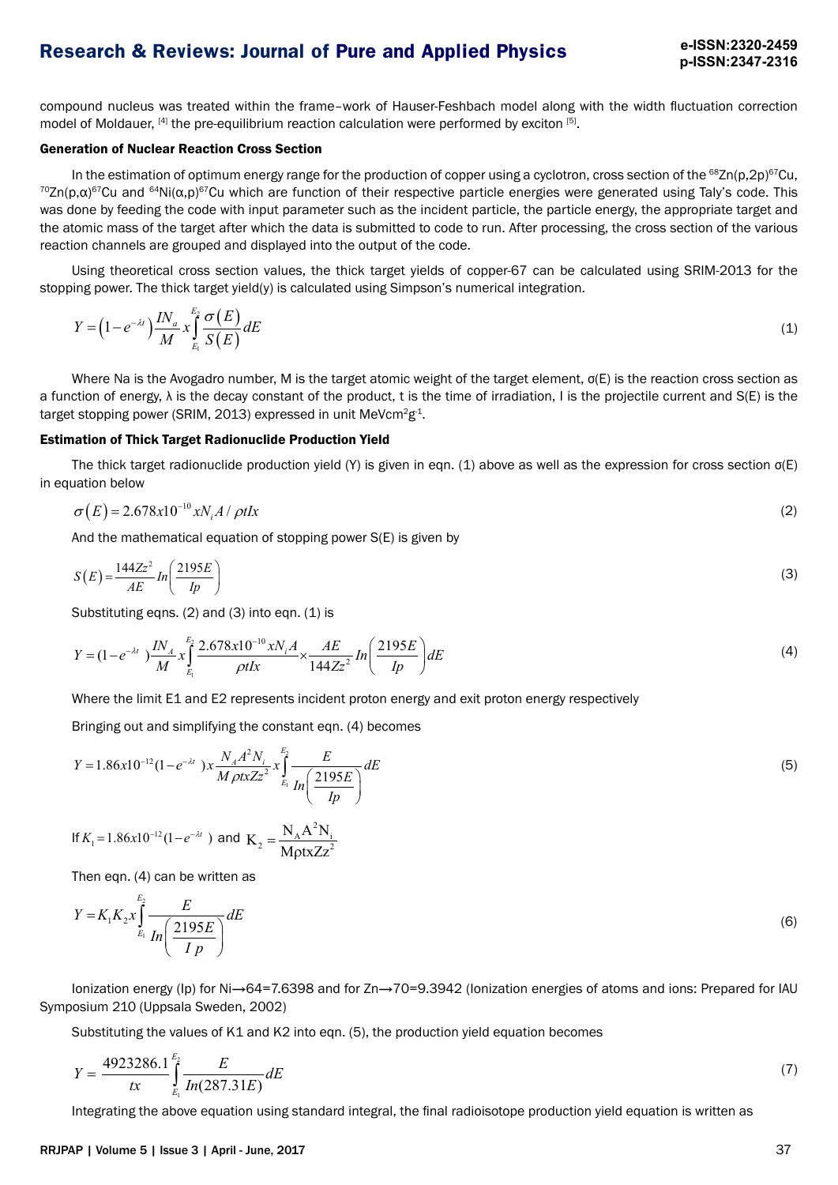compound nucleus was treated within the frame–work of Hauser-Feshbach model along with the width fluctuation correction model of Moldauer,  $[4]$  the pre-equilibrium reaction calculation were performed by exciton  $[5]$ .

#### Generation of Nuclear Reaction Cross Section

In the estimation of optimum energy range for the production of copper using a cyclotron, cross section of the  ${}^{68}Zn(p,2p){}^{67}Cu$ ,<br><sup>70</sup>Zn(p, $\alpha$ ) ${}^{67}Cu$  and  ${}^{64}Ni(\alpha,p){}^{67}Cu$  which are function of their respective par was done by feeding the code with input parameter such as the incident particle, the particle energy, the appropriate target and the atomic mass of the target after which the data is submitted to code to run. After processing, the cross section of the various reaction channels are grouped and displayed into the output of the code.

Using theoretical cross section values, the thick target yields of copper-67 can be calculated using SRIM-2013 for the stopping power. The thick target yield(y) is calculated using Simpson's numerical integration.

$$
Y = \left(1 - e^{-\lambda t}\right) \frac{IN_a}{M} x \int_{E_1}^{E_2} \frac{\sigma(E)}{S(E)} dE \tag{1}
$$

Where Na is the Avogadro number, M is the target atomic weight of the target element, σ(E) is the reaction cross section as a function of energy, λ is the decay constant of the product, t is the time of irradiation, I is the projectile current and S(E) is the target stopping power (SRIM, 2013) expressed in unit MeVcm<sup>2</sup>g<sup>-1</sup>.

#### Estimation of Thick Target Radionuclide Production Yield

The thick target radionuclide production yield (Y) is given in eqn. (1) above as well as the expression for cross section  $\sigma(E)$ in equation below

$$
\sigma(E) = 2.678x10^{-10} xN_i A / \rho t \tag{2}
$$

And the mathematical equation of stopping power S(E) is given by

$$
S(E) = \frac{144Zz^2}{AE} \ln\left(\frac{2195E}{Ip}\right) \tag{3}
$$

Substituting eqns.  $(2)$  and  $(3)$  into eqn.  $(1)$  is

$$
Y = (1 - e^{-\lambda t}) \frac{IN_A}{M} x \int_{E_1}^{E_2} \frac{2.678x10^{-10} xN_i A}{\rho t x} \times \frac{AE}{144Zz^2} In \left(\frac{2195E}{Ip}\right) dE
$$
 (4)

Where the limit E1 and E2 represents incident proton energy and exit proton energy respectively

Bringing out and simplifying the constant eqn. (4) becomes

$$
Y = 1.86 \times 10^{-12} (1 - e^{-\lambda t}) \times \frac{N_A A^2 N_i}{M \rho t x Z z^2} \times \int_{E_i}^{E_2} \frac{E}{In \left(\frac{2195E}{Ip}\right)} dE
$$
 (5)

If 
$$
K_1 = 1.86x10^{-12}(1 - e^{-\lambda t})
$$
 and  $K_2 = \frac{N_A A^2 N_i}{M \rho t x Z z^2}$ 

Then egn. (4) can be written as

$$
Y = K_1 K_2 x \int_{E_1}^{E_2} \frac{E}{\ln\left(\frac{2195E}{1 p}\right)} dE
$$
\n
$$
(6)
$$

Ionization energy (Ip) for Ni→64=7.6398 and for Zn→70=9.3942 (Ionization energies of atoms and ions: Prepared for IAU Symposium 210 (Uppsala Sweden, 2002)

Substituting the values of K1 and K2 into eqn. (5), the production yield equation becomes

$$
Y = \frac{4923286.1 \int_{E_1}^{E_2} \frac{E}{In(287.31E)} dE \tag{7}
$$

Integrating the above equation using standard integral, the final radioisotope production yield equation is written as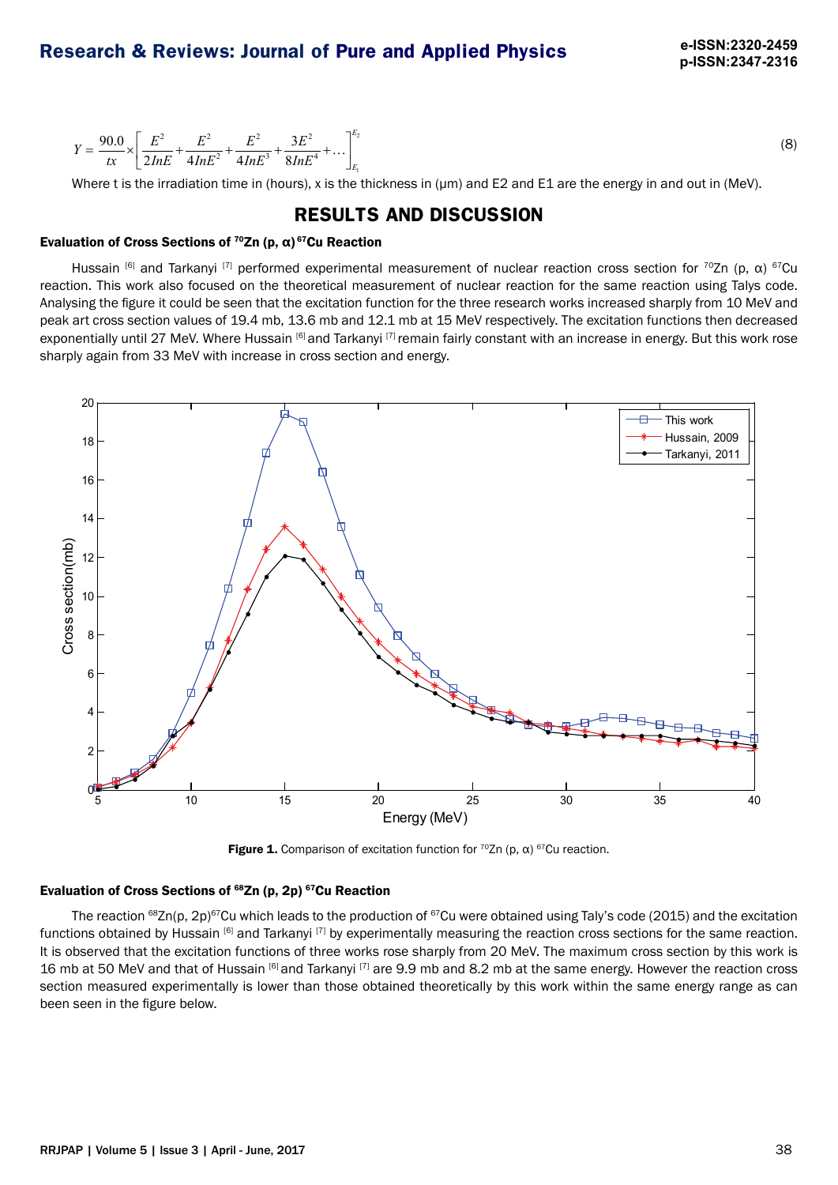$$
Y = \frac{90.0}{tx} \times \left[ \frac{E^2}{2InE} + \frac{E^2}{4InE^2} + \frac{E^2}{4InE^3} + \frac{3E^2}{8InE^4} + \dots \right]_{E_1}^{E_2}
$$

1 Where t is the irradiation time in (hours), x is the thickness in (µm) and E2 and E1 are the energy in and out in (MeV).

## **RESULTS AND DISCUSSION**

#### Evaluation of Cross Sections of  $^{70}Zn$  (p,  $\alpha$ )  $^{67}Cu$  Reaction

Hussain <sup>[6]</sup> and Tarkanyi <sup>[7]</sup> performed experimental measurement of nuclear reaction cross section for <sup>70</sup>Zn (p, α) <sup>67</sup>Cu reaction. This work also focused on the theoretical measurement of nuclear reaction for the same reaction using Talys code. Analysing the figure it could be seen that the excitation function for the three research works increased sharply from 10 MeV and peak art cross section values of 19.4 mb, 13.6 mb and 12.1 mb at 15 MeV respectively. The excitation functions then decreased exponentially until 27 MeV. Where Hussain <sup>[6]</sup> and Tarkanyi <sup>[7]</sup> remain fairly constant with an increase in energy. But this work rose sharply again from 33 MeV with increase in cross section and energy.



Figure 1. Comparison of excitation function for  $\frac{70}{2}$ n (p,  $\alpha$ )  $\frac{67}{2}$ Cu reaction.

#### Evaluation of Cross Sections of <sup>68</sup>Zn (p, 2p) <sup>67</sup>Cu Reaction

The reaction  ${}^{68}Zn(p, 2p){}^{67}Cu$  which leads to the production of  ${}^{67}Cu$  were obtained using Taly's code (2015) and the excitation functions obtained by Hussain  $[6]$  and Tarkanyi  $[7]$  by experimentally measuring the reaction cross sections for the same reaction. It is observed that the excitation functions of three works rose sharply from 20 MeV. The maximum cross section by this work is 16 mb at 50 MeV and that of Hussain [6] and Tarkanyi [7] are 9.9 mb and 8.2 mb at the same energy. However the reaction cross section measured experimentally is lower than those obtained theoretically by this work within the same energy range as can been seen in the figure below.

(8)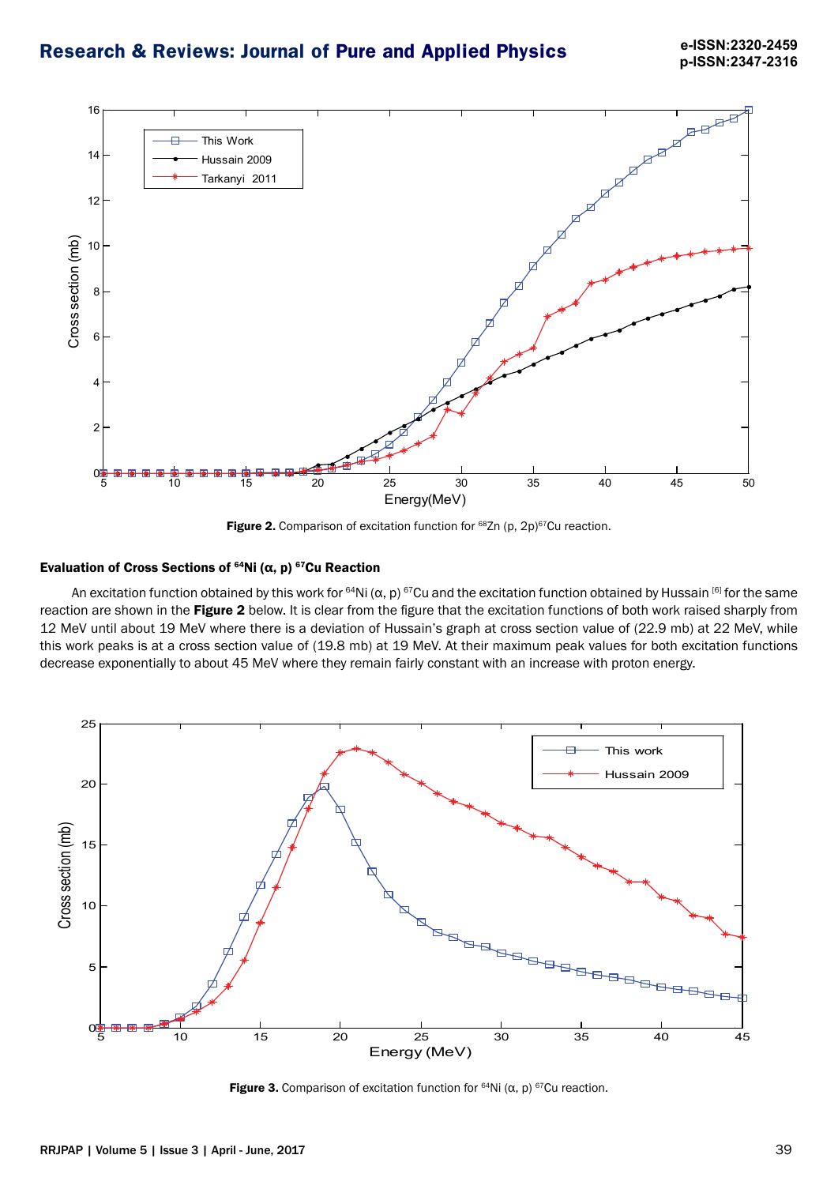

Figure 2. Comparison of excitation function for  $^{68}Zn$  (p, 2p) $^{67}Cu$  reaction.

#### Evaluation of Cross Sections of  $64$ Ni (α, p)  $67$ Cu Reaction

An excitation function obtained by this work for <sup>64</sup>Ni ( $\alpha$ , p) <sup>67</sup>Cu and the excitation function obtained by Hussain <sup>[6]</sup> for the same reaction are shown in the Figure 2 below. It is clear from the figure that the excitation functions of both work raised sharply from 12 MeV until about 19 MeV where there is a deviation of Hussain's graph at cross section value of (22.9 mb) at 22 MeV, while this work peaks is at a cross section value of (19.8 mb) at 19 MeV. At their maximum peak values for both excitation functions decrease exponentially to about 45 MeV where they remain fairly constant with an increase with proton energy.



**Figure 3.** Comparison of excitation function for  ${}^{64}$ Ni ( $\alpha$ , p)  ${}^{67}$ Cu reaction.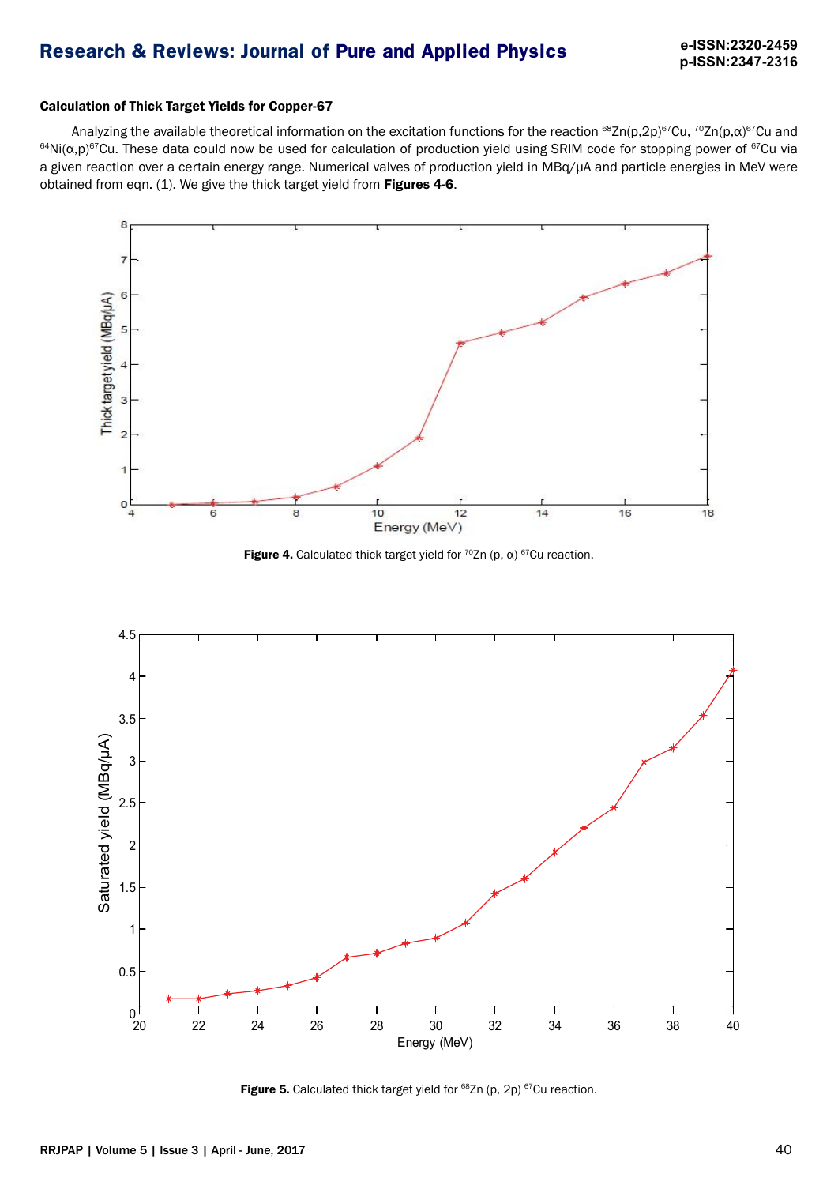#### Calculation of Thick Target Yields for Copper-67

Analyzing the available theoretical information on the excitation functions for the reaction <sup>68</sup>Zn(p,2p)<sup>67</sup>Cu, <sup>70</sup>Zn(p,α)<sup>67</sup>Cu and <sup>64</sup>Ni(α,p)<sup>67</sup>Cu. These data could now be used for calculation of production yield using SRIM code for stopping power of <sup>67</sup>Cu via a given reaction over a certain energy range. Numerical valves of production yield in MBq/µA and particle energies in MeV were obtained from eqn. (1). We give the thick target yield from Figures 4-6.



Figure 4. Calculated thick target yield for  $\frac{70}{2}$ n (p,  $\alpha$ )  $\frac{67}{2}$ Cu reaction.



Figure 5. Calculated thick target yield for  ${}^{68}Zn$  (p, 2p)  ${}^{67}Cu$  reaction.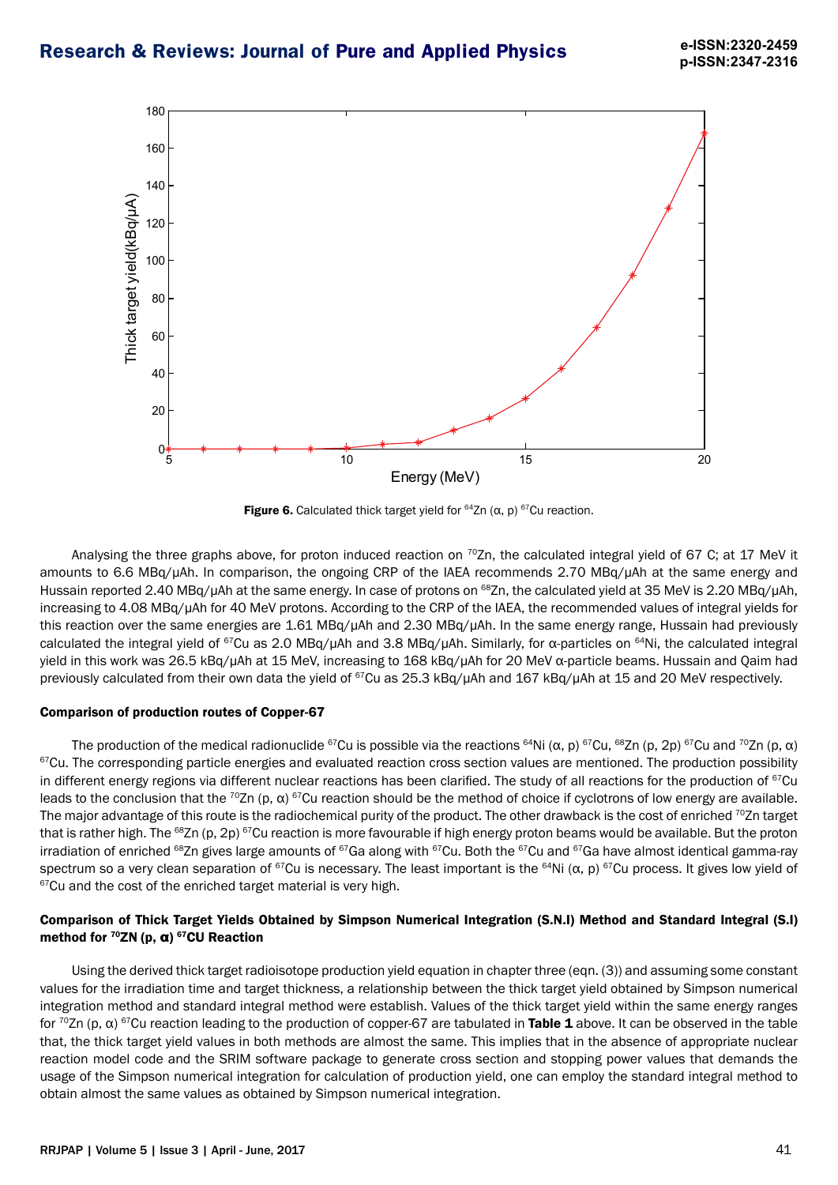

**Figure 6.** Calculated thick target yield for  ${}^{64}$ Zn ( $\alpha$ , p)  ${}^{67}$ Cu reaction.

Analysing the three graphs above, for proton induced reaction on  $\frac{70}{2}$ n, the calculated integral yield of 67 C; at 17 MeV it amounts to 6.6 MBq/μAh. In comparison, the ongoing CRP of the IAEA recommends 2.70 MBq/μAh at the same energy and Hussain reported 2.40 MBq/μAh at the same energy. In case of protons on <sup>68</sup>Zn, the calculated yield at 35 MeV is 2.20 MBq/μAh, increasing to 4.08 MBq/μAh for 40 MeV protons. According to the CRP of the IAEA, the recommended values of integral yields for this reaction over the same energies are 1.61 MBq/μAh and 2.30 MBq/μAh. In the same energy range, Hussain had previously calculated the integral yield of <sup>67</sup>Cu as 2.0 MBq/µAh and 3.8 MBq/µAh. Similarly, for  $\alpha$ -particles on <sup>64</sup>Ni, the calculated integral yield in this work was 26.5 kBq/μAh at 15 MeV, increasing to 168 kBq/μAh for 20 MeV α-particle beams. Hussain and Qaim had previously calculated from their own data the yield of <sup>67</sup>Cu as 25.3 kBq/μAh and 167 kBq/μAh at 15 and 20 MeV respectively.

### Comparison of production routes of Copper-67

The production of the medical radionuclide <sup>67</sup>Cu is possible via the reactions <sup>64</sup>Ni (α, p) <sup>67</sup>Cu, <sup>68</sup>Zn (p, 2p) <sup>67</sup>Cu and <sup>70</sup>Zn (p, α) 67Cu. The corresponding particle energies and evaluated reaction cross section values are mentioned. The production possibility in different energy regions via different nuclear reactions has been clarified. The study of all reactions for the production of <sup>67</sup>Cu leads to the conclusion that the <sup>70</sup>Zn (p, α) <sup>67</sup>Cu reaction should be the method of choice if cyclotrons of low energy are available. The major advantage of this route is the radiochemical purity of the product. The other drawback is the cost of enriched <sup>70</sup>Zn target that is rather high. The  ${}^{68}Zn$  (p, 2p)  ${}^{67}Cu$  reaction is more favourable if high energy proton beams would be available. But the proton irradiation of enriched <sup>68</sup>Zn gives large amounts of <sup>67</sup>Ga along with <sup>67</sup>Cu. Both the <sup>67</sup>Cu and <sup>67</sup>Ga have almost identical gamma-ray spectrum so a very clean separation of <sup>67</sup>Cu is necessary. The least important is the <sup>64</sup>Ni ( $\alpha$ , p) <sup>67</sup>Cu process. It gives low yield of  $67$ Cu and the cost of the enriched target material is very high.

### Comparison of Thick Target Yields Obtained by Simpson Numerical Integration (S.N.I) Method and Standard Integral (S.I) method for  ${}^{70}ZN$  (p,  $\alpha$ )  ${}^{67}CU$  Reaction

Using the derived thick target radioisotope production yield equation in chapter three (eqn. (3)) and assuming some constant values for the irradiation time and target thickness, a relationship between the thick target yield obtained by Simpson numerical integration method and standard integral method were establish. Values of the thick target yield within the same energy ranges for <sup>70</sup>Zn (p, α) <sup>67</sup>Cu reaction leading to the production of copper-67 are tabulated in Table 1 above. It can be observed in the table that, the thick target yield values in both methods are almost the same. This implies that in the absence of appropriate nuclear reaction model code and the SRIM software package to generate cross section and stopping power values that demands the usage of the Simpson numerical integration for calculation of production yield, one can employ the standard integral method to obtain almost the same values as obtained by Simpson numerical integration.